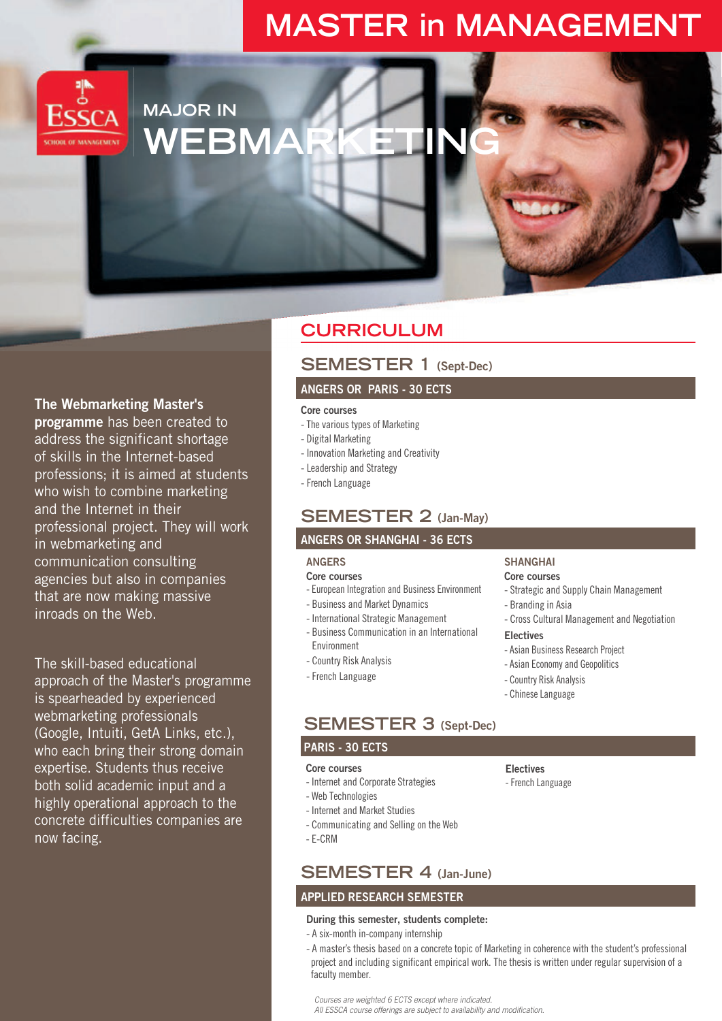# **MASTER in MANAGEMENT**



# **MAJOR IN WEBMA**

## The Webmarketing Master's

programme has been created to address the significant shortage of skills in the Internet-based professions; it is aimed at students who wish to combine marketing and the Internet in their professional project. They will work in webmarketing and communication consulting agencies but also in companies that are now making massive inroads on the Web.

The skill-based educational approach of the Master's programme is spearheaded by experienced webmarketing professionals (Google, Intuiti, GetA Links, etc.), who each bring their strong domain expertise. Students thus receive both solid academic input and a highly operational approach to the concrete difficulties companies are now facing.

# **CURRICULUM**

## **SEMESTER 1 (Sept-Dec)**

## **ANGERS OR PARIS - 30 ECTS**

#### Core courses

- The various types of Marketing
- Digital Marketing
- Innovation Marketing and Creativity
- Leadership and Strategy
- French Language

## **SEMESTER 2 (Jan-May)**

## **ANGERS OR SHANGHAI - 36 ECTS**

## **ANGERS**

#### Core courses

- European Integration and Business Environment
- Business and Market Dynamics
- International Strategic Management
- Business Communication in an International Environment
- Country Risk Analysis
- French Language

## **SEMESTER 3 (Sept-Dec)**

## PARIS - **30 ECTS**

#### Core courses

- Internet and Corporate Strategies
- Web Technologies
- Internet and Market Studies
- Communicating and Selling on the Web
- E-CRM

## **SEMESTER 4 (Jan-June)**

## **APPLIED RESEARCH SEMESTER**

#### **During this semester, students complete:**

- A six-month in-company internship
- A master's thesis based on a concrete topic of Marketing in coherence with the student's professional project and including significant empirical work. The thesis is written under regular supervision of a faculty member.

*Courses are weighted 6 ECTS except where indicated. All ESSCA course offerings are subject to availability and modification.*

- **Electives**
- French Language

- Branding in Asia - Cross Cultural Management and Negotiation

**SHANGHAI Core courses**

#### **Electives**

- Asian Business Research Project

- Strategic and Supply Chain Management

- Asian Economy and Geopolitics
- Country Risk Analysis
- Chinese Language